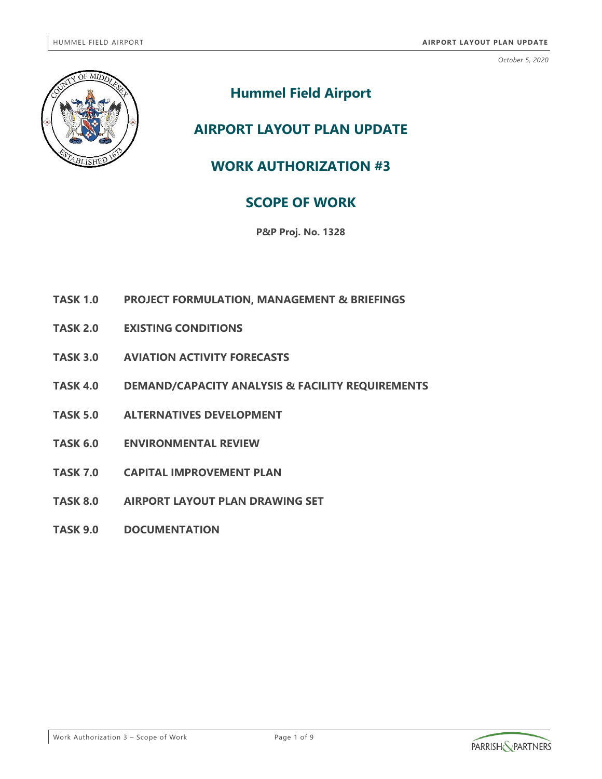

# **Hummel Field Airport**

## **AIRPORT LAYOUT PLAN UPDATE**

## **WORK AUTHORIZATION #3**

## **SCOPE OF WORK**

**P&P Proj. No. 1328**

- **TASK 1.0 PROJECT FORMULATION, MANAGEMENT & BRIEFINGS**
- **TASK 2.0 EXISTING CONDITIONS**
- **TASK 3.0 AVIATION ACTIVITY FORECASTS**
- **TASK 4.0 DEMAND/CAPACITY ANALYSIS & FACILITY REQUIREMENTS**
- **TASK 5.0 ALTERNATIVES DEVELOPMENT**
- **TASK 6.0 ENVIRONMENTAL REVIEW**
- **TASK 7.0 CAPITAL IMPROVEMENT PLAN**
- **TASK 8.0 AIRPORT LAYOUT PLAN DRAWING SET**
- **TASK 9.0 DOCUMENTATION**

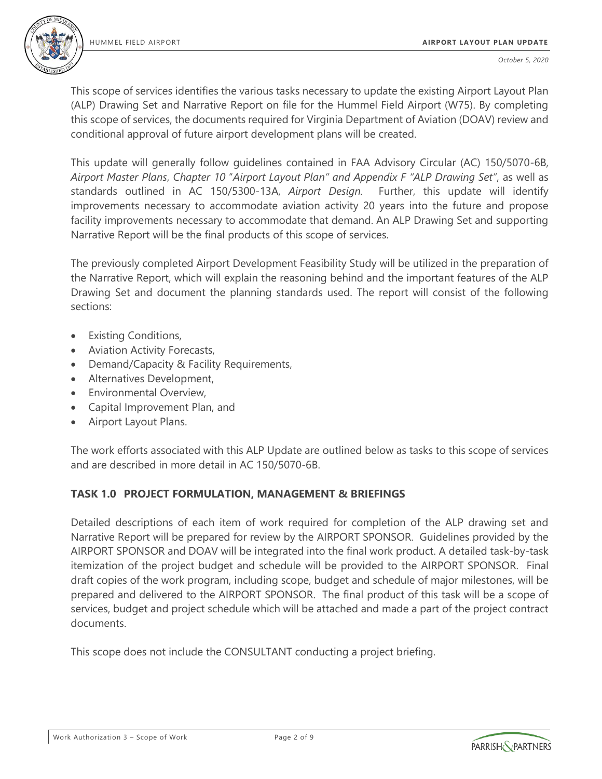

This scope of services identifies the various tasks necessary to update the existing Airport Layout Plan (ALP) Drawing Set and Narrative Report on file for the Hummel Field Airport (W75). By completing this scope of services, the documents required for Virginia Department of Aviation (DOAV) review and conditional approval of future airport development plans will be created.

This update will generally follow guidelines contained in FAA Advisory Circular (AC) 150/5070-6B, *Airport Master Plans*, *Chapter 10* "*Airport Layout Plan" and Appendix F "ALP Drawing Set"*, as well as standards outlined in AC 150/5300-13A, *Airport Design.* Further, this update will identify improvements necessary to accommodate aviation activity 20 years into the future and propose facility improvements necessary to accommodate that demand. An ALP Drawing Set and supporting Narrative Report will be the final products of this scope of services.

The previously completed Airport Development Feasibility Study will be utilized in the preparation of the Narrative Report, which will explain the reasoning behind and the important features of the ALP Drawing Set and document the planning standards used. The report will consist of the following sections:

- Existing Conditions,
- Aviation Activity Forecasts,
- Demand/Capacity & Facility Requirements,
- Alternatives Development,
- Environmental Overview,
- Capital Improvement Plan, and
- Airport Layout Plans.

The work efforts associated with this ALP Update are outlined below as tasks to this scope of services and are described in more detail in AC 150/5070-6B.

## **TASK 1.0 PROJECT FORMULATION, MANAGEMENT & BRIEFINGS**

Detailed descriptions of each item of work required for completion of the ALP drawing set and Narrative Report will be prepared for review by the AIRPORT SPONSOR. Guidelines provided by the AIRPORT SPONSOR and DOAV will be integrated into the final work product. A detailed task-by-task itemization of the project budget and schedule will be provided to the AIRPORT SPONSOR. Final draft copies of the work program, including scope, budget and schedule of major milestones, will be prepared and delivered to the AIRPORT SPONSOR. The final product of this task will be a scope of services, budget and project schedule which will be attached and made a part of the project contract documents.

This scope does not include the CONSULTANT conducting a project briefing.

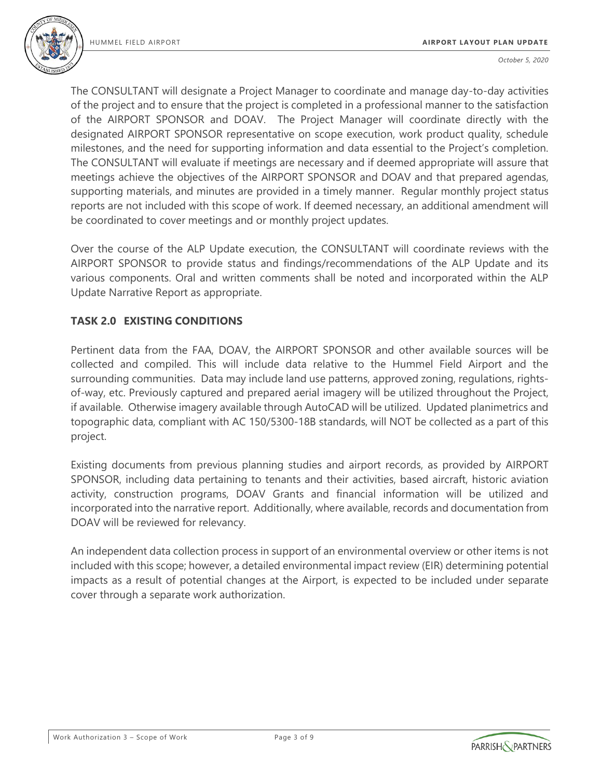

The CONSULTANT will designate a Project Manager to coordinate and manage day-to-day activities of the project and to ensure that the project is completed in a professional manner to the satisfaction of the AIRPORT SPONSOR and DOAV. The Project Manager will coordinate directly with the designated AIRPORT SPONSOR representative on scope execution, work product quality, schedule milestones, and the need for supporting information and data essential to the Project's completion. The CONSULTANT will evaluate if meetings are necessary and if deemed appropriate will assure that meetings achieve the objectives of the AIRPORT SPONSOR and DOAV and that prepared agendas, supporting materials, and minutes are provided in a timely manner. Regular monthly project status reports are not included with this scope of work. If deemed necessary, an additional amendment will be coordinated to cover meetings and or monthly project updates.

Over the course of the ALP Update execution, the CONSULTANT will coordinate reviews with the AIRPORT SPONSOR to provide status and findings/recommendations of the ALP Update and its various components. Oral and written comments shall be noted and incorporated within the ALP Update Narrative Report as appropriate.

#### **TASK 2.0 EXISTING CONDITIONS**

Pertinent data from the FAA, DOAV, the AIRPORT SPONSOR and other available sources will be collected and compiled. This will include data relative to the Hummel Field Airport and the surrounding communities. Data may include land use patterns, approved zoning, regulations, rightsof-way, etc. Previously captured and prepared aerial imagery will be utilized throughout the Project, if available. Otherwise imagery available through AutoCAD will be utilized. Updated planimetrics and topographic data, compliant with AC 150/5300-18B standards, will NOT be collected as a part of this project.

Existing documents from previous planning studies and airport records, as provided by AIRPORT SPONSOR, including data pertaining to tenants and their activities, based aircraft, historic aviation activity, construction programs, DOAV Grants and financial information will be utilized and incorporated into the narrative report. Additionally, where available, records and documentation from DOAV will be reviewed for relevancy.

An independent data collection process in support of an environmental overview or other items is not included with this scope; however, a detailed environmental impact review (EIR) determining potential impacts as a result of potential changes at the Airport, is expected to be included under separate cover through a separate work authorization.

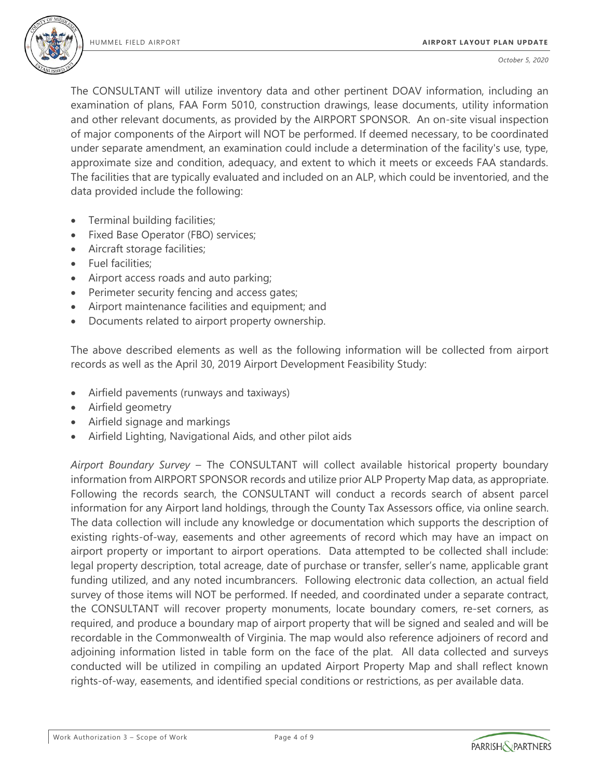

The CONSULTANT will utilize inventory data and other pertinent DOAV information, including an examination of plans, FAA Form 5010, construction drawings, lease documents, utility information and other relevant documents, as provided by the AIRPORT SPONSOR. An on-site visual inspection of major components of the Airport will NOT be performed. If deemed necessary, to be coordinated under separate amendment, an examination could include a determination of the facility's use, type, approximate size and condition, adequacy, and extent to which it meets or exceeds FAA standards. The facilities that are typically evaluated and included on an ALP, which could be inventoried, and the data provided include the following:

- Terminal building facilities;
- Fixed Base Operator (FBO) services;
- Aircraft storage facilities;
- Fuel facilities;
- Airport access roads and auto parking;
- Perimeter security fencing and access gates;
- Airport maintenance facilities and equipment; and
- Documents related to airport property ownership.

The above described elements as well as the following information will be collected from airport records as well as the April 30, 2019 Airport Development Feasibility Study:

- Airfield pavements (runways and taxiways)
- Airfield geometry
- Airfield signage and markings
- Airfield Lighting, Navigational Aids, and other pilot aids

*Airport Boundary Survey* – The CONSULTANT will collect available historical property boundary information from AIRPORT SPONSOR records and utilize prior ALP Property Map data, as appropriate. Following the records search, the CONSULTANT will conduct a records search of absent parcel information for any Airport land holdings, through the County Tax Assessors office, via online search. The data collection will include any knowledge or documentation which supports the description of existing rights-of-way, easements and other agreements of record which may have an impact on airport property or important to airport operations. Data attempted to be collected shall include: legal property description, total acreage, date of purchase or transfer, seller's name, applicable grant funding utilized, and any noted incumbrancers. Following electronic data collection, an actual field survey of those items will NOT be performed. If needed, and coordinated under a separate contract, the CONSULTANT will recover property monuments, locate boundary comers, re-set corners, as required, and produce a boundary map of airport property that will be signed and sealed and will be recordable in the Commonwealth of Virginia. The map would also reference adjoiners of record and adjoining information listed in table form on the face of the plat. All data collected and surveys conducted will be utilized in compiling an updated Airport Property Map and shall reflect known rights-of-way, easements, and identified special conditions or restrictions, as per available data.

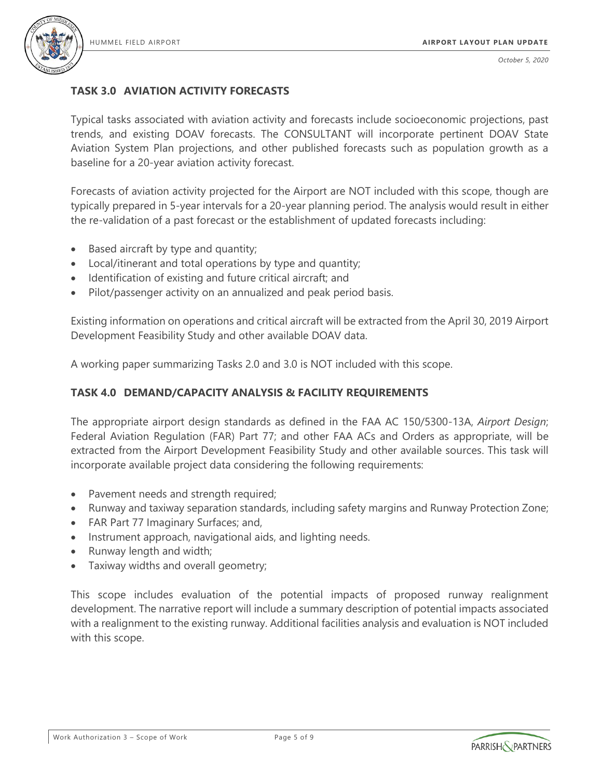

## **TASK 3.0 AVIATION ACTIVITY FORECASTS**

Typical tasks associated with aviation activity and forecasts include socioeconomic projections, past trends, and existing DOAV forecasts. The CONSULTANT will incorporate pertinent DOAV State Aviation System Plan projections, and other published forecasts such as population growth as a baseline for a 20-year aviation activity forecast.

Forecasts of aviation activity projected for the Airport are NOT included with this scope, though are typically prepared in 5-year intervals for a 20-year planning period. The analysis would result in either the re-validation of a past forecast or the establishment of updated forecasts including:

- Based aircraft by type and quantity;
- Local/itinerant and total operations by type and quantity;
- Identification of existing and future critical aircraft; and
- Pilot/passenger activity on an annualized and peak period basis.

Existing information on operations and critical aircraft will be extracted from the April 30, 2019 Airport Development Feasibility Study and other available DOAV data.

A working paper summarizing Tasks 2.0 and 3.0 is NOT included with this scope.

#### **TASK 4.0 DEMAND/CAPACITY ANALYSIS & FACILITY REQUIREMENTS**

The appropriate airport design standards as defined in the FAA AC 150/5300-13A, *Airport Design*; Federal Aviation Regulation (FAR) Part 77; and other FAA ACs and Orders as appropriate, will be extracted from the Airport Development Feasibility Study and other available sources. This task will incorporate available project data considering the following requirements:

- Pavement needs and strength required;
- Runway and taxiway separation standards, including safety margins and Runway Protection Zone;
- FAR Part 77 Imaginary Surfaces; and,
- Instrument approach, navigational aids, and lighting needs.
- Runway length and width;
- Taxiway widths and overall geometry;

This scope includes evaluation of the potential impacts of proposed runway realignment development. The narrative report will include a summary description of potential impacts associated with a realignment to the existing runway. Additional facilities analysis and evaluation is NOT included with this scope.

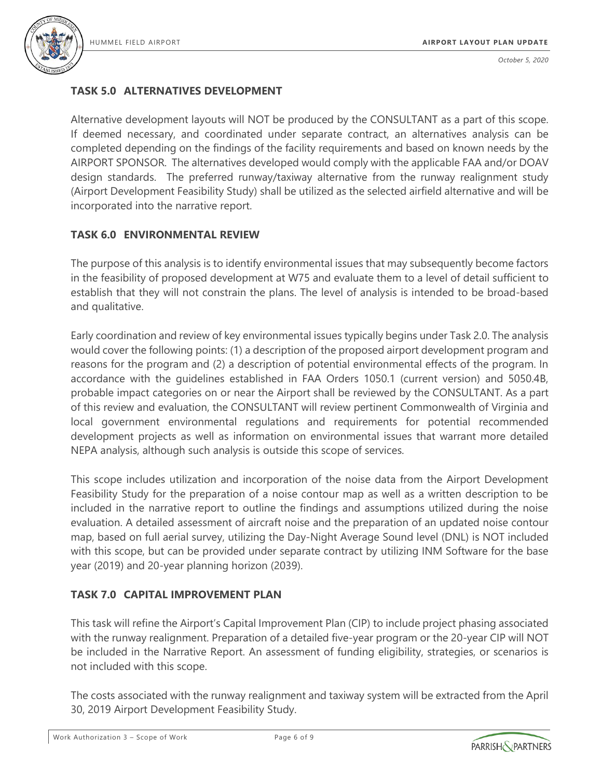

## **TASK 5.0 ALTERNATIVES DEVELOPMENT**

Alternative development layouts will NOT be produced by the CONSULTANT as a part of this scope. If deemed necessary, and coordinated under separate contract, an alternatives analysis can be completed depending on the findings of the facility requirements and based on known needs by the AIRPORT SPONSOR. The alternatives developed would comply with the applicable FAA and/or DOAV design standards. The preferred runway/taxiway alternative from the runway realignment study (Airport Development Feasibility Study) shall be utilized as the selected airfield alternative and will be incorporated into the narrative report.

## **TASK 6.0 ENVIRONMENTAL REVIEW**

The purpose of this analysis is to identify environmental issues that may subsequently become factors in the feasibility of proposed development at W75 and evaluate them to a level of detail sufficient to establish that they will not constrain the plans. The level of analysis is intended to be broad-based and qualitative.

Early coordination and review of key environmental issues typically begins under Task 2.0. The analysis would cover the following points: (1) a description of the proposed airport development program and reasons for the program and (2) a description of potential environmental effects of the program. In accordance with the guidelines established in FAA Orders 1050.1 (current version) and 5050.4B, probable impact categories on or near the Airport shall be reviewed by the CONSULTANT. As a part of this review and evaluation, the CONSULTANT will review pertinent Commonwealth of Virginia and local government environmental regulations and requirements for potential recommended development projects as well as information on environmental issues that warrant more detailed NEPA analysis, although such analysis is outside this scope of services.

This scope includes utilization and incorporation of the noise data from the Airport Development Feasibility Study for the preparation of a noise contour map as well as a written description to be included in the narrative report to outline the findings and assumptions utilized during the noise evaluation. A detailed assessment of aircraft noise and the preparation of an updated noise contour map, based on full aerial survey, utilizing the Day-Night Average Sound level (DNL) is NOT included with this scope, but can be provided under separate contract by utilizing INM Software for the base year (2019) and 20-year planning horizon (2039).

## **TASK 7.0 CAPITAL IMPROVEMENT PLAN**

This task will refine the Airport's Capital Improvement Plan (CIP) to include project phasing associated with the runway realignment. Preparation of a detailed five-year program or the 20-year CIP will NOT be included in the Narrative Report. An assessment of funding eligibility, strategies, or scenarios is not included with this scope.

The costs associated with the runway realignment and taxiway system will be extracted from the April 30, 2019 Airport Development Feasibility Study.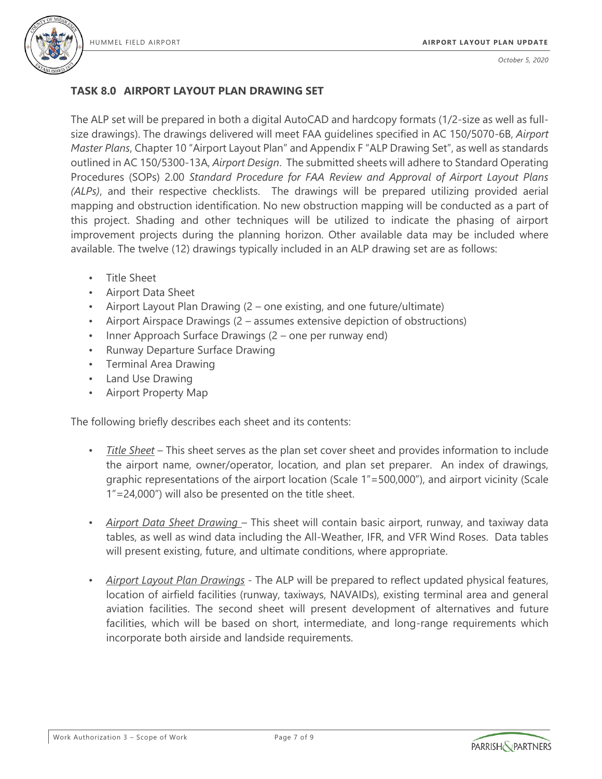

## **TASK 8.0 AIRPORT LAYOUT PLAN DRAWING SET**

The ALP set will be prepared in both a digital AutoCAD and hardcopy formats (1/2-size as well as fullsize drawings). The drawings delivered will meet FAA guidelines specified in AC 150/5070-6B, *Airport Master Plans*, Chapter 10 "Airport Layout Plan" and Appendix F "ALP Drawing Set", as well as standards outlined in AC 150/5300-13A, *Airport Design*. The submitted sheets will adhere to Standard Operating Procedures (SOPs) 2.00 *Standard Procedure for FAA Review and Approval of Airport Layout Plans (ALPs)*, and their respective checklists. The drawings will be prepared utilizing provided aerial mapping and obstruction identification. No new obstruction mapping will be conducted as a part of this project. Shading and other techniques will be utilized to indicate the phasing of airport improvement projects during the planning horizon. Other available data may be included where available. The twelve (12) drawings typically included in an ALP drawing set are as follows:

- Title Sheet
- Airport Data Sheet
- Airport Layout Plan Drawing (2 one existing, and one future/ultimate)
- Airport Airspace Drawings (2 assumes extensive depiction of obstructions)
- Inner Approach Surface Drawings (2 one per runway end)
- Runway Departure Surface Drawing
- Terminal Area Drawing
- Land Use Drawing
- Airport Property Map

The following briefly describes each sheet and its contents:

- *Title Sheet* This sheet serves as the plan set cover sheet and provides information to include the airport name, owner/operator, location, and plan set preparer. An index of drawings, graphic representations of the airport location (Scale 1"=500,000"), and airport vicinity (Scale 1"=24,000") will also be presented on the title sheet.
- *Airport Data Sheet Drawing*  This sheet will contain basic airport, runway, and taxiway data tables, as well as wind data including the All-Weather, IFR, and VFR Wind Roses. Data tables will present existing, future, and ultimate conditions, where appropriate.
- *Airport Layout Plan Drawings* The ALP will be prepared to reflect updated physical features, location of airfield facilities (runway, taxiways, NAVAIDs), existing terminal area and general aviation facilities. The second sheet will present development of alternatives and future facilities, which will be based on short, intermediate, and long-range requirements which incorporate both airside and landside requirements.

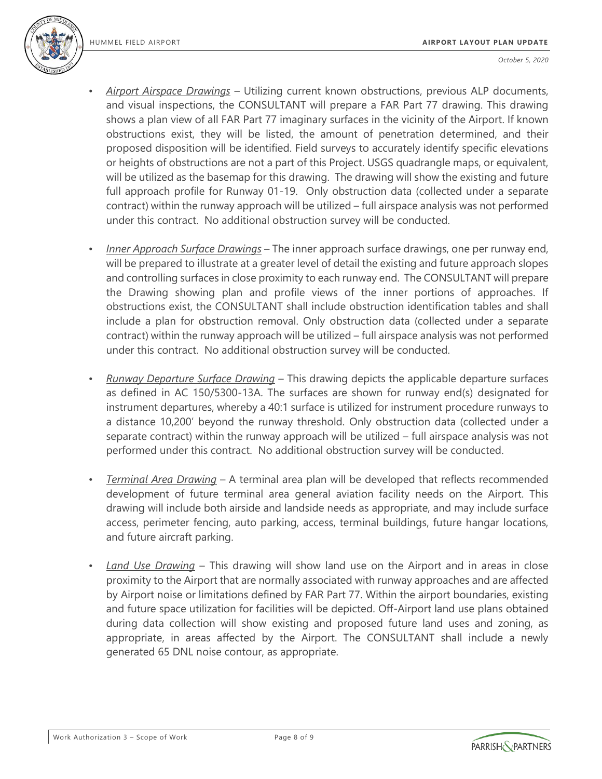

- *Airport Airspace Drawings* Utilizing current known obstructions, previous ALP documents, and visual inspections, the CONSULTANT will prepare a FAR Part 77 drawing. This drawing shows a plan view of all FAR Part 77 imaginary surfaces in the vicinity of the Airport. If known obstructions exist, they will be listed, the amount of penetration determined, and their proposed disposition will be identified. Field surveys to accurately identify specific elevations or heights of obstructions are not a part of this Project. USGS quadrangle maps, or equivalent, will be utilized as the basemap for this drawing. The drawing will show the existing and future full approach profile for Runway 01-19. Only obstruction data (collected under a separate contract) within the runway approach will be utilized – full airspace analysis was not performed under this contract. No additional obstruction survey will be conducted.
- *Inner Approach Surface Drawings* The inner approach surface drawings, one per runway end, will be prepared to illustrate at a greater level of detail the existing and future approach slopes and controlling surfaces in close proximity to each runway end. The CONSULTANT will prepare the Drawing showing plan and profile views of the inner portions of approaches. If obstructions exist, the CONSULTANT shall include obstruction identification tables and shall include a plan for obstruction removal. Only obstruction data (collected under a separate contract) within the runway approach will be utilized – full airspace analysis was not performed under this contract. No additional obstruction survey will be conducted.
- *Runway Departure Surface Drawing* This drawing depicts the applicable departure surfaces as defined in AC 150/5300-13A. The surfaces are shown for runway end(s) designated for instrument departures, whereby a 40:1 surface is utilized for instrument procedure runways to a distance 10,200' beyond the runway threshold. Only obstruction data (collected under a separate contract) within the runway approach will be utilized – full airspace analysis was not performed under this contract. No additional obstruction survey will be conducted.
- *Terminal Area Drawing* A terminal area plan will be developed that reflects recommended development of future terminal area general aviation facility needs on the Airport. This drawing will include both airside and landside needs as appropriate, and may include surface access, perimeter fencing, auto parking, access, terminal buildings, future hangar locations, and future aircraft parking.
- *Land Use Drawing* This drawing will show land use on the Airport and in areas in close proximity to the Airport that are normally associated with runway approaches and are affected by Airport noise or limitations defined by FAR Part 77. Within the airport boundaries, existing and future space utilization for facilities will be depicted. Off-Airport land use plans obtained during data collection will show existing and proposed future land uses and zoning, as appropriate, in areas affected by the Airport. The CONSULTANT shall include a newly generated 65 DNL noise contour, as appropriate.